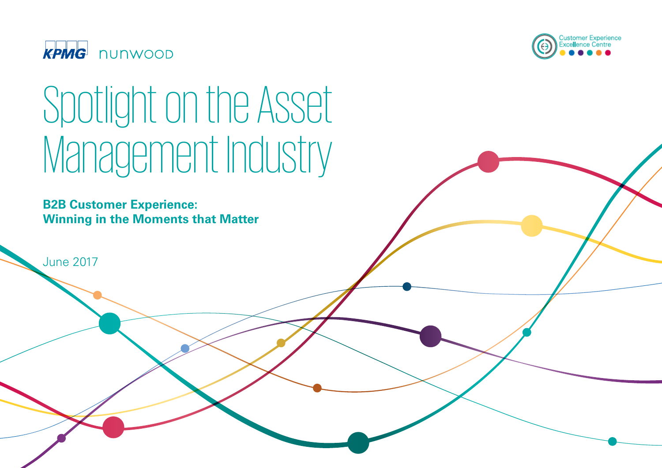



**B2B Customer Experience: Winning in the Moments that Matter** 

June 2017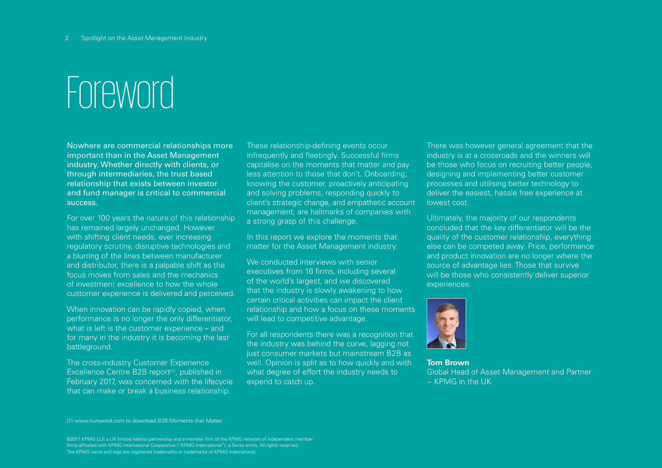### Foreword

Nowhere are commercial relationships more important than in the Asset Management industry. Whether directly with clients, or through intermediaries, the trust based relationship that exists between investor and fund manager is critical to commercial success.

For over 100 years the nature of this relationship has remained largely unchanged. However with shifting client needs, ever increasing regulatory scrutiny, disruptive technologies and a blurring of the lines between manufacturer and distributor, there is a palpable shift as the focus moves from sales and the mechanics of investment excellence to how the whole customer experience is delivered and perceived.

When innovation can be rapidly copied, when performance is no longer the only differentiator, what is left is the customer experience – and for many in the industry it is becoming the last battleground.

The cross-industry Customer Experience Excellence Centre B2B report<sup>(1)</sup>, published in February 2017, was concerned with the lifecycle that can make or break a business relationship.

These relationship-defining events occur infrequently and fleetingly. Successful firms capitalise on the moments that matter and pay less attention to those that don't. Onboarding, knowing the customer, proactively anticipating and solving problems, responding quickly to client's strategic change, and empathetic account management, are hallmarks of companies with a strong grasp of this challenge.

In this report we explore the moments that matter for the Asset Management industry.

We conducted interviews with senior executives from 16 firms, including several of the world's largest, and we discovered that the industry is slowly awakening to how certain critical activities can impact the client relationship and how a focus on these moments will lead to competitive advantage.

For all respondents there was a recognition that the industry was behind the curve, lagging not just consumer markets but mainstream B2B as well. Opinion is split as to how quickly and with what degree of effort the industry needs to expend to catch up.

There was however general agreement that the industry is at a crossroads and the winners will be those who focus on recruiting better people, designing and implementing better customer processes and utilising better technology to deliver the easiest, hassle free experience at lowest cost.

Ultimately, the majority of our respondents concluded that the key differentiator will be the quality of the customer relationship, everything else can be competed away. Price, performance and product innovation are no longer where the source of advantage lies. Those that survive will be those who consistently deliver superior experiences.



**Tom Brown**  Global Head of Asset Management and Partner − KPMG in the UK

(1) www.nunwood.com to download B2B:Moments that Matter.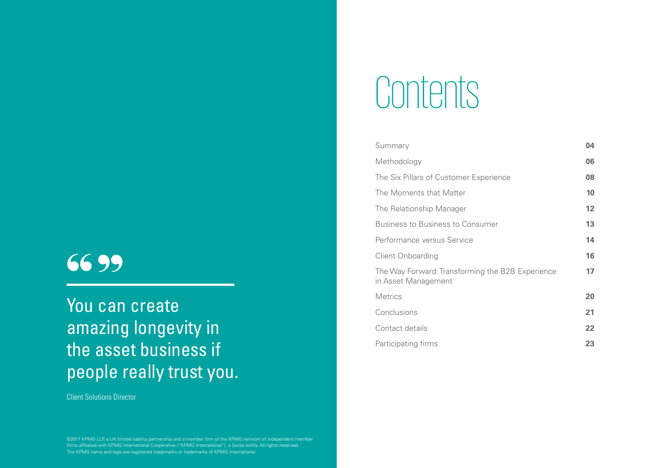### 99  $\frac{\mathsf{66}}{\mathsf{Y}_{\mathsf{OII}}}$

You can create amazing longevity in the asset business if people really trust you.

Client Solutions Director

©2017 KPMG LLP, a UK limited liability partnership and a member firm of the KPMG network of independent member firms affiliated with KPMG International Cooperative ("KPMG International"), a Swiss entity. All rights reserved. The KPMG name and logo are registered trademarks or trademarks of KPMG International.

# Contents

| Summary                                                                 | 04              |
|-------------------------------------------------------------------------|-----------------|
| Methodology                                                             | 06              |
| The Six Pillars of Customer Experience                                  | 80              |
| The Moments that Matter                                                 | 10              |
| The Relationship Manager                                                | 12 <sub>2</sub> |
| <b>Business to Business to Consumer</b>                                 | 13              |
| Performance versus Service                                              | 14              |
| <b>Client Onboarding</b>                                                | 16              |
| The Way Forward: Transforming the B2B Experience<br>in Asset Management | 17              |
| <b>Metrics</b>                                                          | 20              |
| Conclusions                                                             | 21              |
| Contact details                                                         | 22              |
| Participating firms                                                     | 23              |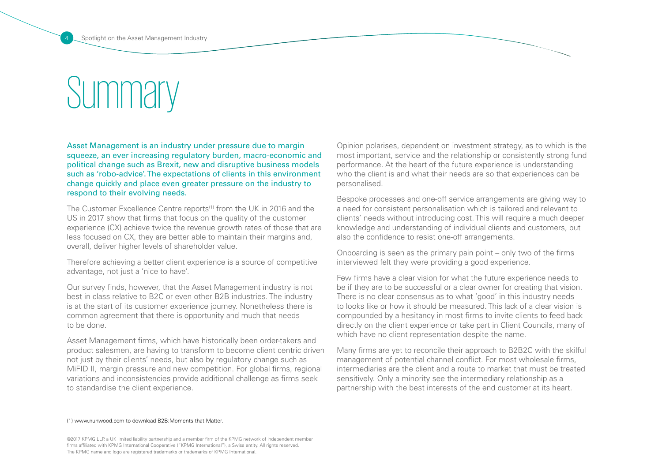### **Summary**

Asset Management is an industry under pressure due to margin squeeze, an ever increasing regulatory burden, macro-economic and political change such as Brexit, new and disruptive business models such as 'robo-advice'. The expectations of clients in this environment change quickly and place even greater pressure on the industry to respond to their evolving needs.

The Customer Excellence Centre reports<sup>(1)</sup> from the UK in 2016 and the US in 2017 show that firms that focus on the quality of the customer experience (CX) achieve twice the revenue growth rates of those that are less focused on CX, they are better able to maintain their margins and, overall, deliver higher levels of shareholder value.

Therefore achieving a better client experience is a source of competitive advantage, not just a 'nice to have'.

Our survey finds, however, that the Asset Management industry is not best in class relative to B2C or even other B2B industries. The industry is at the start of its customer experience journey. Nonetheless there is common agreement that there is opportunity and much that needs to be done.

Asset Management firms, which have historically been order-takers and product salesmen, are having to transform to become client centric driven not just by their clients' needs, but also by regulatory change such as MiFID II, margin pressure and new competition. For global firms, regional variations and inconsistencies provide additional challenge as firms seek to standardise the client experience.

Opinion polarises, dependent on investment strategy, as to which is the most important, service and the relationship or consistently strong fund performance. At the heart of the future experience is understanding who the client is and what their needs are so that experiences can be personalised.

Bespoke processes and one-off service arrangements are giving way to a need for consistent personalisation which is tailored and relevant to clients' needs without introducing cost. This will require a much deeper knowledge and understanding of individual clients and customers, but also the confidence to resist one-off arrangements.

Onboarding is seen as the primary pain point – only two of the firms interviewed felt they were providing a good experience.

Few firms have a clear vision for what the future experience needs to be if they are to be successful or a clear owner for creating that vision. There is no clear consensus as to what 'good' in this industry needs to looks like or how it should be measured. This lack of a clear vision is compounded by a hesitancy in most firms to invite clients to feed back directly on the client experience or take part in Client Councils, many of which have no client representation despite the name.

Many firms are yet to reconcile their approach to B2B2C with the skilful management of potential channel conflict. For most wholesale firms, intermediaries are the client and a route to market that must be treated sensitively. Only a minority see the intermediary relationship as a partnership with the best interests of the end customer at its heart.

#### (1) www.nunwood.com to download B2B:Moments that Matter.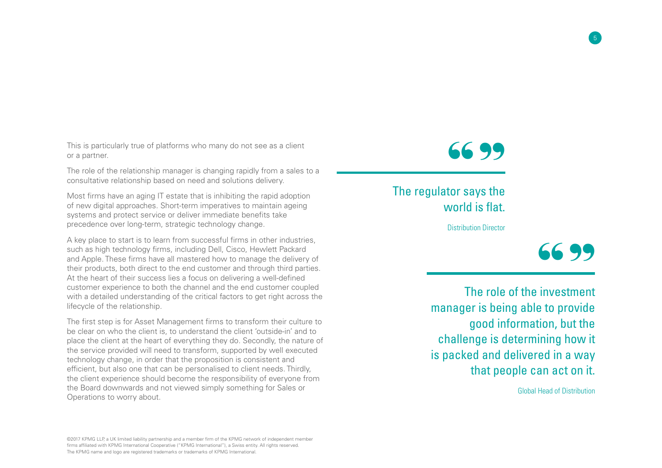This is particularly true of platforms who many do not see as a client or a partner.

The role of the relationship manager is changing rapidly from a sales to a consultative relationship based on need and solutions delivery.

Most firms have an aging IT estate that is inhibiting the rapid adoption of new digital approaches. Short-term imperatives to maintain ageing systems and protect service or deliver immediate benefits take precedence over long-term, strategic technology change.

A key place to start is to learn from successful firms in other industries, such as high technology firms, including Dell, Cisco, Hewlett Packard and Apple. These firms have all mastered how to manage the delivery of their products, both direct to the end customer and through third parties. At the heart of their success lies a focus on delivering a well-defined customer experience to both the channel and the end customer coupled with a detailed understanding of the critical factors to get right across the lifecycle of the relationship.

The first step is for Asset Management firms to transform their culture to be clear on who the client is, to understand the client 'outside-in' and to place the client at the heart of everything they do. Secondly, the nature of the service provided will need to transform, supported by well executed technology change, in order that the proposition is consistent and efficient, but also one that can be personalised to client needs. Thirdly, the client experience should become the responsibility of everyone from the Board downwards and not viewed simply something for Sales or Operations to worry about.



The regulator says the world is flat.

Distribution Director



The role of the investment manager is being able to provide good information, but the challenge is determining how it is packed and delivered in a way that people can act on it.

Global Head of Distribution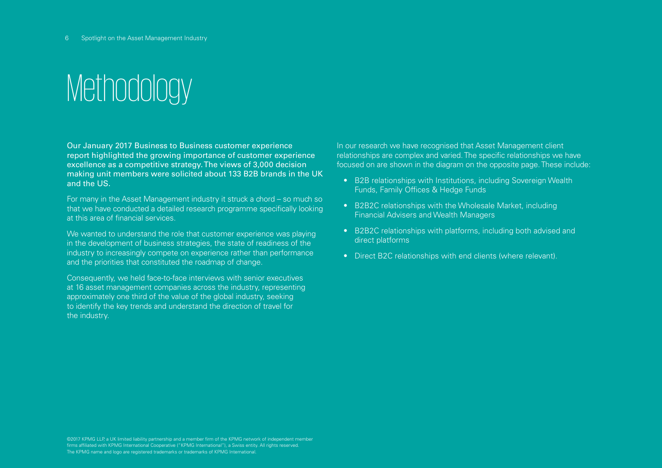### **Methodology**

Our January 2017 Business to Business customer experience report highlighted the growing importance of customer experience excellence as a competitive strategy. The views of 3,000 decision making unit members were solicited about 133 B2B brands in the UK and the US.

For many in the Asset Management industry it struck a chord – so much so that we have conducted a detailed research programme specifically looking at this area of financial services.

We wanted to understand the role that customer experience was playing in the development of business strategies, the state of readiness of the industry to increasingly compete on experience rather than performance and the priorities that constituted the roadmap of change.

Consequently, we held face-to-face interviews with senior executives at 16 asset management companies across the industry, representing approximately one third of the value of the global industry, seeking to identify the key trends and understand the direction of travel for the industry.

In our research we have recognised that Asset Management client relationships are complex and varied. The specific relationships we have focused on are shown in the diagram on the opposite page. These include:

- B2B relationships with Institutions, including Sovereign Wealth Funds, Family Offices & Hedge Funds
- B2B2C relationships with the Wholesale Market, including Financial Advisers and Wealth Managers
- B2B2C relationships with platforms, including both advised and direct platforms
- Direct B2C relationships with end clients (where relevant).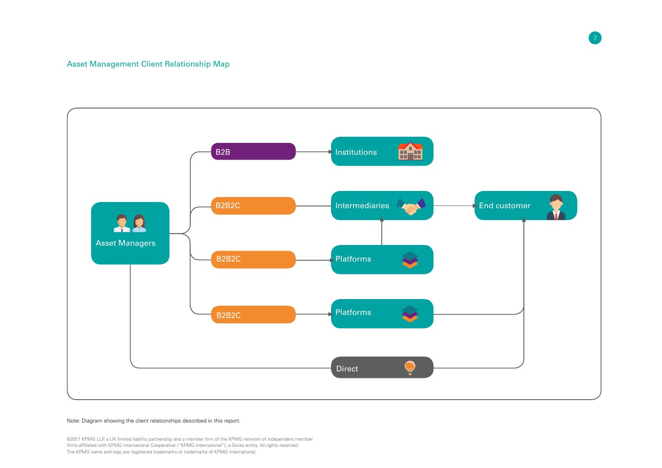### Asset Management Client Relationship Map



#### Note: Diagram showing the client relationships described in this report.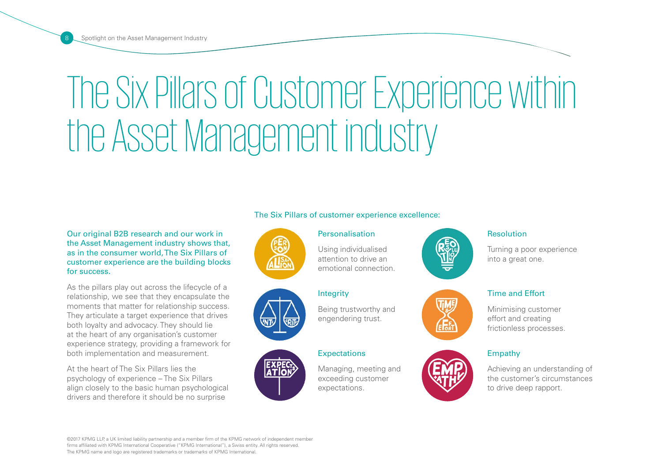# The Six Pillars of Customer Experience within the Asset Management industry

### Our original B2B research and our work in the Asset Management industry shows that, as in the consumer world, The Six Pillars of customer experience are the building blocks for success.

As the pillars play out across the lifecycle of a relationship, we see that they encapsulate the moments that matter for relationship success. They articulate a target experience that drives both loyalty and advocacy. They should lie at the heart of any organisation's customer experience strategy, providing a framework for both implementation and measurement.

At the heart of The Six Pillars lies the psychology of experience – The Six Pillars align closely to the basic human psychological drivers and therefore it should be no surprise

### The Six Pillars of customer experience excellence:

**Personalisation** 

Using individualised attention to drive an emotional connection.







### Being trustworthy and engendering trust.

### **Expectations**

Integrity

Managing, meeting and exceeding customer expectations.



#### Resolution

Turning a poor experience into a great one.

### Time and Effort

Minimising customer effort and creating frictionless processes.

### Empathy

Achieving an understanding of the customer's circumstances to drive deep rapport.

©2017 KPMG LLP, a UK limited liability partnership and a member firm of the KPMG network of independent member

firms affiliated with KPMG International Cooperative ("KPMG International"), a Swiss entity. All rights reserved. The KPMG name and logo are registered trademarks or trademarks of KPMG International.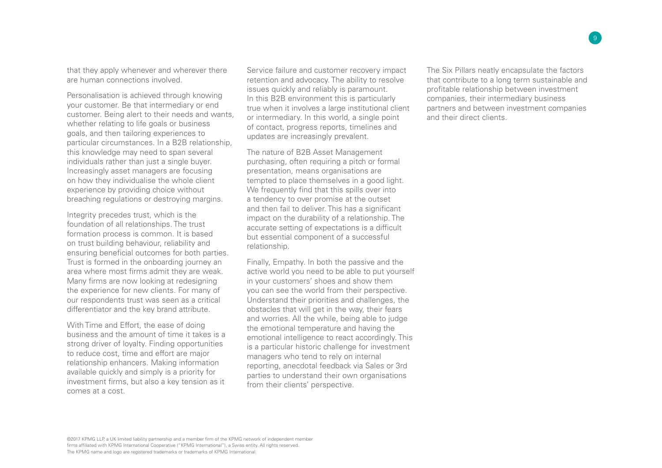that they apply whenever and wherever there are human connections involved.

Personalisation is achieved through knowing your customer. Be that intermediary or end customer. Being alert to their needs and wants, whether relating to life goals or business goals, and then tailoring experiences to particular circumstances. In a B2B relationship, this knowledge may need to span several individuals rather than just a single buyer. Increasingly asset managers are focusing on how they individualise the whole client experience by providing choice without breaching regulations or destroying margins.

Integrity precedes trust, which is the foundation of all relationships. The trust formation process is common. It is based on trust building behaviour, reliability and ensuring beneficial outcomes for both parties. Trust is formed in the onboarding journey an area where most firms admit they are weak. Many firms are now looking at redesigning the experience for new clients. For many of our respondents trust was seen as a critical differentiator and the key brand attribute.

With Time and Effort, the ease of doing business and the amount of time it takes is a strong driver of loyalty. Finding opportunities to reduce cost, time and effort are major relationship enhancers. Making information available quickly and simply is a priority for investment firms, but also a key tension as it comes at a cost.

Service failure and customer recovery impact retention and advocacy. The ability to resolve issues quickly and reliably is paramount. In this B2B environment this is particularly true when it involves a large institutional client or intermediary. In this world, a single point of contact, progress reports, timelines and updates are increasingly prevalent.

The nature of B2B Asset Management purchasing, often requiring a pitch or formal presentation, means organisations are tempted to place themselves in a good light. We frequently find that this spills over into a tendency to over promise at the outset and then fail to deliver. This has a significant impact on the durability of a relationship. The accurate setting of expectations is a difficult but essential component of a successful relationship.

Finally, Empathy. In both the passive and the active world you need to be able to put yourself in your customers' shoes and show them you can see the world from their perspective. Understand their priorities and challenges, the obstacles that will get in the way, their fears and worries. All the while, being able to judge the emotional temperature and having the emotional intelligence to react accordingly. This is a particular historic challenge for investment managers who tend to rely on internal reporting, anecdotal feedback via Sales or 3rd parties to understand their own organisations from their clients' perspective.

The Six Pillars neatly encapsulate the factors that contribute to a long term sustainable and profitable relationship between investment companies, their intermediary business partners and between investment companies and their direct clients.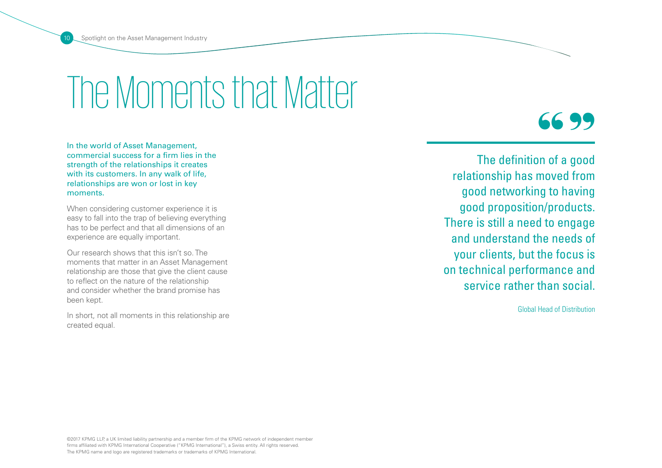## The Moments that Matter

In the world of Asset Management, commercial success for a firm lies in the strength of the relationships it creates with its customers. In any walk of life, relationships are won or lost in key moments.

When considering customer experience it is easy to fall into the trap of believing everything has to be perfect and that all dimensions of an experience are equally important.

Our research shows that this isn't so. The moments that matter in an Asset Management relationship are those that give the client cause to reflect on the nature of the relationship and consider whether the brand promise has been kept.

In short, not all moments in this relationship are created equal.

 $\frac{66}{\frac{1}{2}}$ 99

The definition of a good relationship has moved from good networking to having good proposition/products. There is still a need to engage and understand the needs of your clients, but the focus is on technical performance and service rather than social.

Global Head of Distribution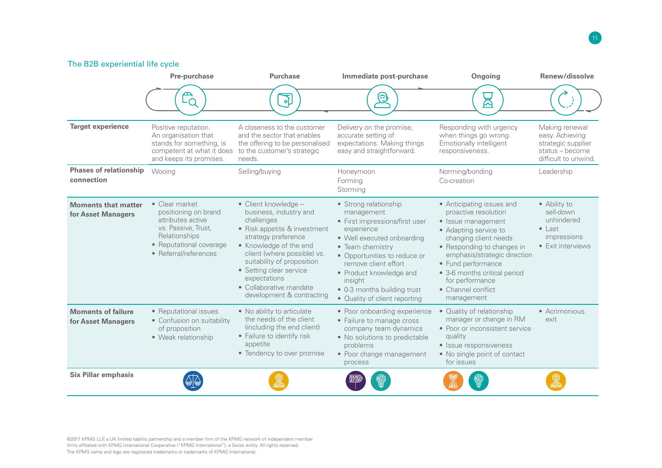### The B2B experiential life cycle

|                                                  | Pre-purchase                                                                                                                                            | <b>Purchase</b>                                                                                                                                                                                                                                                                                               | Immediate post-purchase                                                                                                                                                                                                                                                                             | Ongoing                                                                                                                                                                                                                                                                                              | Renew/dissolve                                                                                     |
|--------------------------------------------------|---------------------------------------------------------------------------------------------------------------------------------------------------------|---------------------------------------------------------------------------------------------------------------------------------------------------------------------------------------------------------------------------------------------------------------------------------------------------------------|-----------------------------------------------------------------------------------------------------------------------------------------------------------------------------------------------------------------------------------------------------------------------------------------------------|------------------------------------------------------------------------------------------------------------------------------------------------------------------------------------------------------------------------------------------------------------------------------------------------------|----------------------------------------------------------------------------------------------------|
|                                                  |                                                                                                                                                         | ক                                                                                                                                                                                                                                                                                                             | 奠                                                                                                                                                                                                                                                                                                   | ឝ                                                                                                                                                                                                                                                                                                    |                                                                                                    |
| <b>Target experience</b>                         | Positive reputation.<br>An organisation that<br>stands for something, is<br>competent at what it does<br>and keeps its promises.                        | A closeness to the customer<br>and the sector that enables<br>the offering to be personalised<br>to the customer's strategic<br>needs.                                                                                                                                                                        | Delivery on the promise,<br>accurate setting of<br>expectations. Making things<br>easy and straightforward                                                                                                                                                                                          | Responding with urgency<br>when things go wrong.<br>Emotionally intelligent<br>responsiveness.                                                                                                                                                                                                       | Making renewal<br>easy. Achieving<br>strategic supplier<br>status - become<br>difficult to unwind. |
| <b>Phases of relationship</b><br>connection      | Wooing                                                                                                                                                  | Selling/buying                                                                                                                                                                                                                                                                                                | Honeymoon<br>Forming<br>Storming                                                                                                                                                                                                                                                                    | Norming/bonding<br>Co-creation                                                                                                                                                                                                                                                                       | Leadership                                                                                         |
| <b>Moments that matter</b><br>for Asset Managers | • Clear market<br>positioning on brand<br>attributes active<br>vs. Passive, Trust,<br>Relationships<br>• Reputational coverage<br>• Referral/references | • Client knowledge -<br>business, industry and<br>challenges<br>• Risk appetite & investment<br>strategy preference<br>• Knowledge of the end<br>client (where possible) vs.<br>suitability of proposition<br>• Setting clear service<br>expectations<br>• Collaborative mandate<br>development & contracting | • Strong relationship<br>management<br>• First impressions/first user<br>experience<br>• Well executed onboarding<br>• Team chemistry<br>• Opportunities to reduce or<br>remove client effort<br>• Product knowledge and<br>insight<br>• 0-3 months building trust<br>• Quality of client reporting | • Anticipating issues and<br>proactive resolution<br>• Issue management<br>• Adapting service to<br>changing client needs<br>• Responding to changes in<br>emphasis/strategic direction<br>• Fund performance<br>• 3-6 months critical period<br>for performance<br>• Channel conflict<br>management | • Ability to<br>sell-down<br>unhindered<br>$\bullet$ Last<br>impressions<br>• Exit interviews      |
| <b>Moments of failure</b><br>for Asset Managers  | • Reputational issues<br>• Confusion on suitability<br>of proposition<br>• Weak relationship                                                            | • No ability to articulate<br>the needs of the client<br>(including the end client)<br>• Failure to identify risk<br>appetite<br>• Tendency to over promise                                                                                                                                                   | • Poor onboarding experience<br>• Failure to manage cross<br>company team dynamics<br>• No solutions to predictable<br>problems<br>• Poor change management<br>process                                                                                                                              | • Quality of relationship<br>manager or change in RM<br>• Poor or inconsistent service<br>quality<br>• Issue responsiveness<br>• No single point of contact<br>for issues                                                                                                                            | • Acrimonious<br>exit                                                                              |
| <b>Six Pillar emphasis</b>                       |                                                                                                                                                         |                                                                                                                                                                                                                                                                                                               |                                                                                                                                                                                                                                                                                                     |                                                                                                                                                                                                                                                                                                      |                                                                                                    |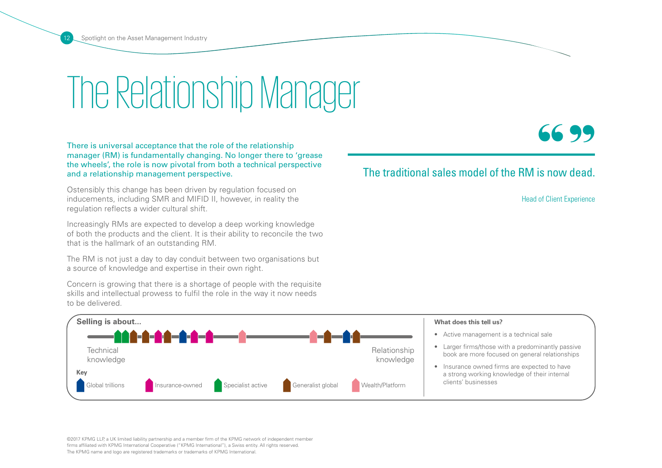## The Relationship Manager

There is universal acceptance that the role of the relationship manager (RM) is fundamentally changing. No longer there to 'grease the wheels', the role is now pivotal from both a technical perspective and a relationship management perspective.

Ostensibly this change has been driven by regulation focused on inducements, including SMR and MIFID II, however, in reality the regulation reflects a wider cultural shift.

Increasingly RMs are expected to develop a deep working knowledge of both the products and the client. It is their ability to reconcile the two that is the hallmark of an outstanding RM.

The RM is not just a day to day conduit between two organisations but a source of knowledge and expertise in their own right.

Concern is growing that there is a shortage of people with the requisite skills and intellectual prowess to fulfil the role in the way it now needs to be delivered.

Head of Client Experience

99



### The traditional sales model of the RM is now dead.  $\frac{66}{\frac{1}{100}}$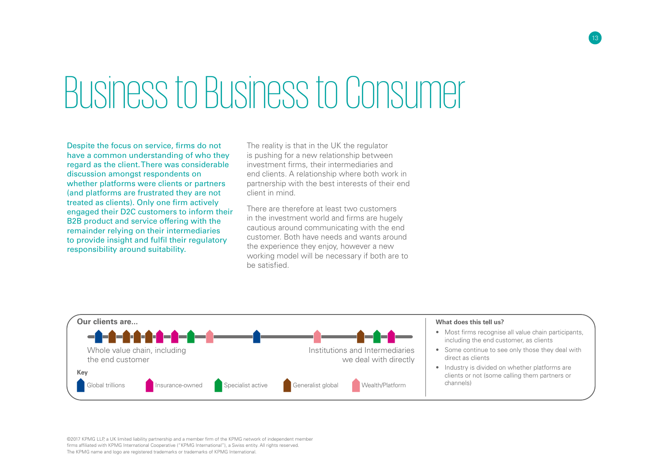# Business to Business to Consumer

Despite the focus on service, firms do not have a common understanding of who they regard as the client. There was considerable discussion amongst respondents on whether platforms were clients or partners (and platforms are frustrated they are not treated as clients). Only one firm actively engaged their D2C customers to inform their B2B product and service offering with the remainder relying on their intermediaries to provide insight and fulfil their regulatory responsibility around suitability.

The reality is that in the UK the regulator is pushing for a new relationship between investment firms, their intermediaries and end clients. A relationship where both work in partnership with the best interests of their end client in mind.

There are therefore at least two customers in the investment world and firms are hugely cautious around communicating with the end customer. Both have needs and wants around the experience they enjoy, however a new working model will be necessary if both are to be satisfied.

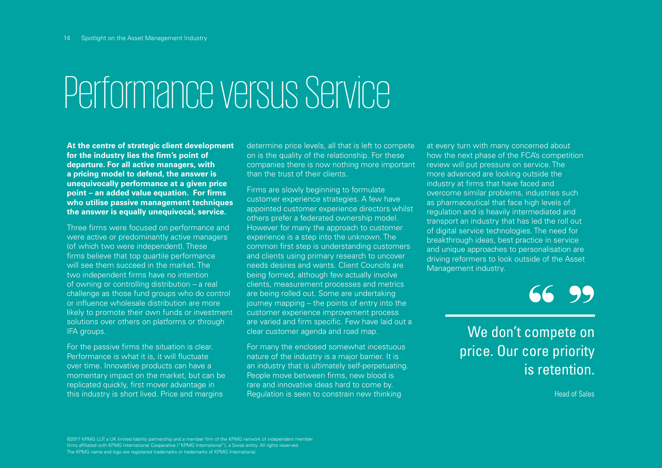# Performance versus Service

**At the centre of strategic client development for the industry lies the firm's point of departure. For all active managers, with a pricing model to defend, the answer is unequivocally performance at a given price point – an added value equation. For firms who utilise passive management techniques the answer is equally unequivocal, service.** 

Three firms were focused on performance and were active or predominantly active managers (of which two were independent). These firms believe that top quartile performance will see them succeed in the market. The two independent firms have no intention of owning or controlling distribution – a real challenge as those fund groups who do control or influence wholesale distribution are more likely to promote their own funds or investment solutions over others on platforms or through IFA groups.

For the passive firms the situation is clear. Performance is what it is, it will fluctuate over time. Innovative products can have a momentary impact on the market, but can be replicated quickly, first mover advantage in this industry is short lived. Price and margins

determine price levels, all that is left to compete on is the quality of the relationship. For these companies there is now nothing more important than the trust of their clients.

Firms are slowly beginning to formulate customer experience strategies. A few have appointed customer experience directors whilst others prefer a federated ownership model. However for many the approach to customer experience is a step into the unknown. The common first step is understanding customers and clients using primary research to uncover needs desires and wants. Client Councils are being formed, although few actually involve clients, measurement processes and metrics are being rolled out. Some are undertaking journey mapping – the points of entry into the customer experience improvement process are varied and firm specific. Few have laid out a clear customer agenda and road map.

For many the enclosed somewhat incestuous nature of the industry is a major barrier. It is an industry that is ultimately self-perpetuating. People move between firms, new blood is rare and innovative ideas hard to come by. Regulation is seen to constrain new thinking

at every turn with many concerned about how the next phase of the FCA's competition review will put pressure on service. The more advanced are looking outside the industry at firms that have faced and overcome similar problems, industries such as pharmaceutical that face high levels of regulation and is heavily intermediated and transport an industry that has led the roll out of digital service technologies. The need for breakthrough ideas, best practice in service and unique approaches to personalisation are driving reformers to look outside of the Asset Management industry.

66 99<br>
:ompete on

We don't compete on price. Our core priority is retention.

Head of Sales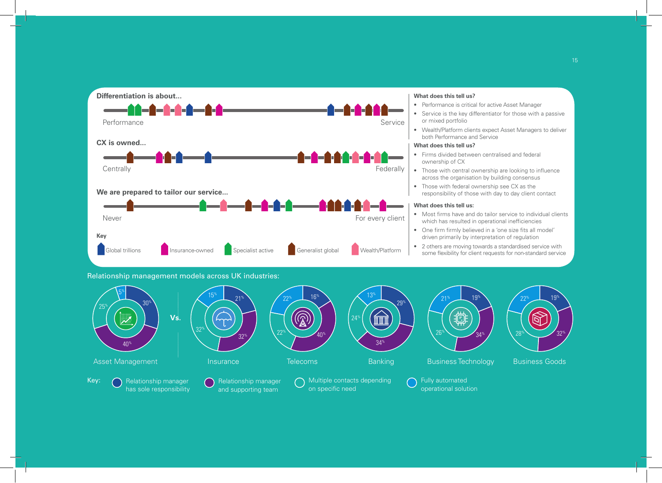



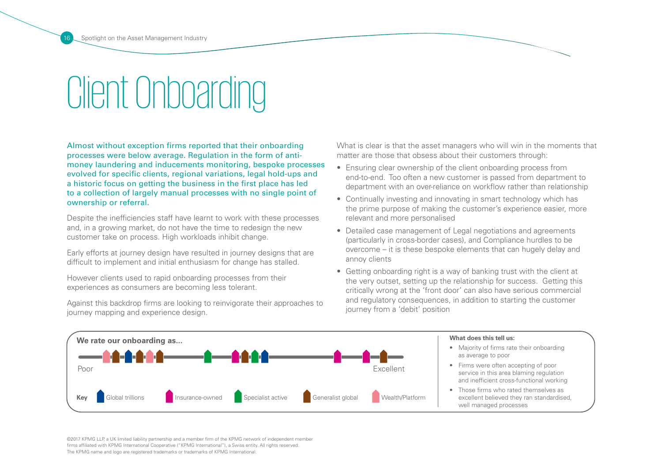# Client Onboarding

Almost without exception firms reported that their onboarding processes were below average. Regulation in the form of antimoney laundering and inducements monitoring, bespoke processes evolved for specific clients, regional variations, legal hold-ups and a historic focus on getting the business in the first place has led to a collection of largely manual processes with no single point of ownership or referral.

Despite the inefficiencies staff have learnt to work with these processes and, in a growing market, do not have the time to redesign the new customer take on process. High workloads inhibit change.

Early efforts at journey design have resulted in journey designs that are difficult to implement and initial enthusiasm for change has stalled.

However clients used to rapid onboarding processes from their experiences as consumers are becoming less tolerant.

Against this backdrop firms are looking to reinvigorate their approaches to journey mapping and experience design.

What is clear is that the asset managers who will win in the moments that matter are those that obsess about their customers through:

- Ensuring clear ownership of the client onboarding process from end-to-end. Too often a new customer is passed from department to department with an over-reliance on workflow rather than relationship
- Continually investing and innovating in smart technology which has the prime purpose of making the customer's experience easier, more relevant and more personalised
- Detailed case management of Legal negotiations and agreements (particularly in cross-border cases), and Compliance hurdles to be overcome – it is these bespoke elements that can hugely delay and annoy clients
- Getting onboarding right is a way of banking trust with the client at the very outset, setting up the relationship for success. Getting this critically wrong at the 'front door' can also have serious commercial and regulatory consequences, in addition to starting the customer journey from a 'debit' position



#### **What does this tell us:**

- Majority of firms rate their onboarding as average to poor
- Firms were often accepting of poor service in this area blaming regulation and inefficient cross-functional working
- Those firms who rated themselves as excellent believed they ran standardised, well managed processes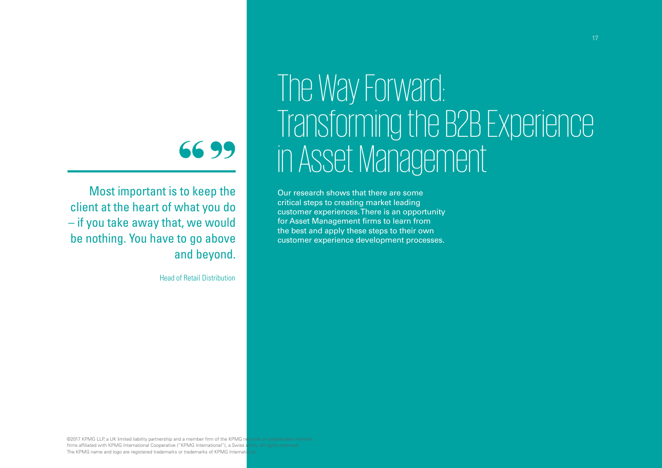### $\frac{66}{10}$  to ke 99

Most important is to keep the client at the heart of what you do – if you take away that, we would be nothing. You have to go above and beyond.

Head of Retail Distribution

### The Way Forward: Transforming the B2B Experience in Asset Management

Our research shows that there are some critical steps to creating market leading customer experiences. There is an opportunity for Asset Management firms to learn from the best and apply these steps to their own customer experience development processes.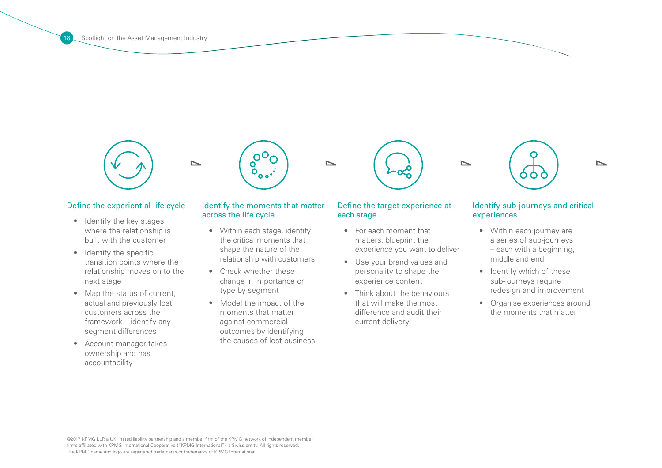

#### Define the experiential life cycle

- Identify the key stages where the relationship is built with the customer
- Identify the specific transition points where the relationship moves on to the next stage
- Map the status of current, actual and previously lost customers across the framework – identify any segment differences
- • Account manager takes ownership and has accountability

### Identify the moments that matter across the life cycle

- Within each stage, identify the critical moments that shape the nature of the relationship with customers
- Check whether these change in importance or type by segment
- Model the impact of the moments that matter against commercial outcomes by identifying the causes of lost business

### Define the target experience at each stage

- For each moment that matters, blueprint the experience you want to deliver
- • Use your brand values and personality to shape the experience content
- Think about the behaviours that will make the most difference and audit their current delivery

### Identify sub-journeys and critical experiences

- Within each journey are a series of sub-journeys – each with a beginning, middle and end
- Identify which of these sub-journeys require redesign and improvement
- Organise experiences around the moments that matter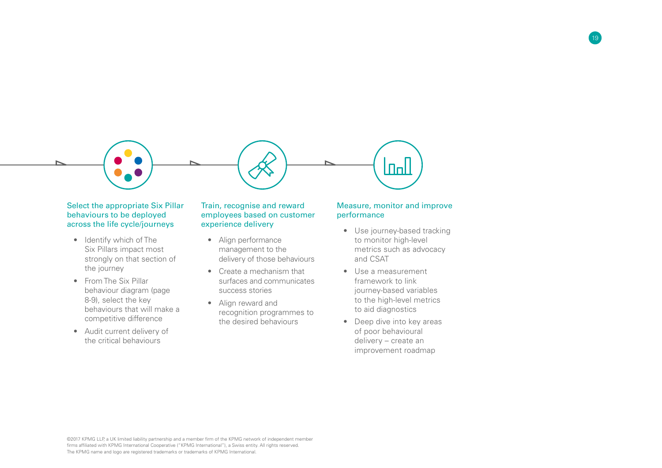

### Select the appropriate Six Pillar behaviours to be deployed across the life cycle/journeys

- Identify which of The Six Pillars impact most strongly on that section of the journey
- From The Six Pillar behaviour diagram (page 8-9), select the key behaviours that will make a competitive difference
- Audit current delivery of the critical behaviours

### Train, recognise and reward employees based on customer experience delivery

- • Align performance management to the delivery of those behaviours
- • Create a mechanism that surfaces and communicates success stories
- • Align reward and recognition programmes to the desired behaviours

### Measure, monitor and improve performance

19

- Use journey-based tracking to monitor high-level metrics such as advocacy and CSAT
- • Use a measurement framework to link journey-based variables to the high-level metrics to aid diagnostics
- Deep dive into key areas of poor behavioural delivery – create an improvement roadmap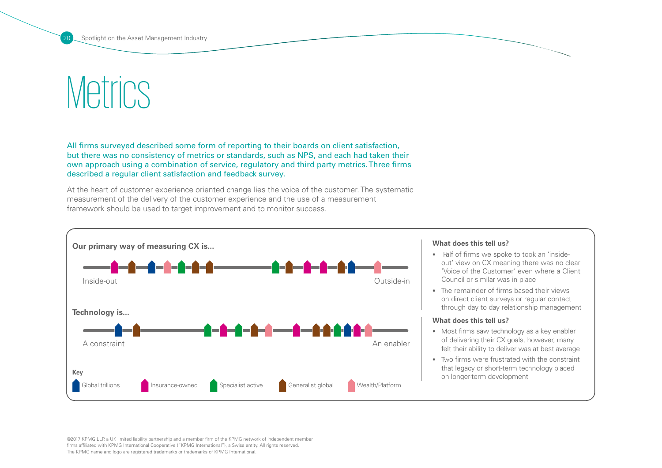### **Metrics**

All firms surveyed described some form of reporting to their boards on client satisfaction, but there was no consistency of metrics or standards, such as NPS, and each had taken their own approach using a combination of service, regulatory and third party metrics. Three firms described a regular client satisfaction and feedback survey.

At the heart of customer experience oriented change lies the voice of the customer. The systematic measurement of the delivery of the customer experience and the use of a measurement framework should be used to target improvement and to monitor success.



#### **What does this tell us?**

- Half of firms we spoke to took an 'insideout' view on CX meaning there was no clear 'Voice of the Customer' even where a Client Council or similar was in place
- The remainder of firms based their views on direct client surveys or regular contact through day to day relationship management

#### **What does this tell us?**

- Most firms saw technology as a key enabler of delivering their CX goals, however, many felt their ability to deliver was at best average
- • Two firms were frustrated with the constraint that legacy or short-term technology placed on longer-term development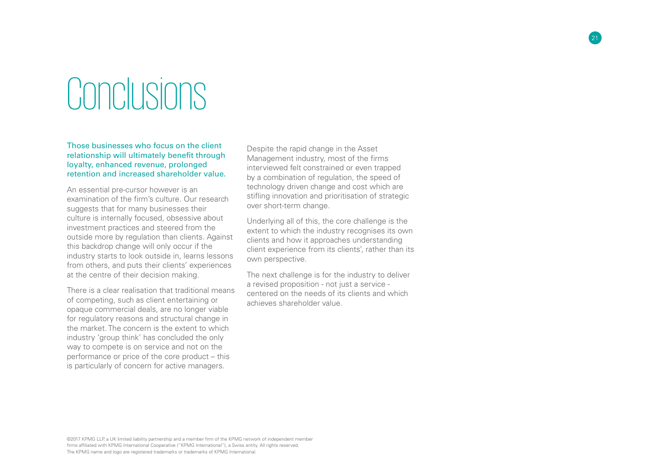## **Conclusions**

Those businesses who focus on the client relationship will ultimately benefit through loyalty, enhanced revenue, prolonged retention and increased shareholder value.

An essential pre-cursor however is an examination of the firm's culture. Our research suggests that for many businesses their culture is internally focused, obsessive about investment practices and steered from the outside more by regulation than clients. Against this backdrop change will only occur if the industry starts to look outside in, learns lessons from others, and puts their clients' experiences at the centre of their decision making.

There is a clear realisation that traditional means of competing, such as client entertaining or opaque commercial deals, are no longer viable for regulatory reasons and structural change in the market. The concern is the extent to which industry 'group think' has concluded the only way to compete is on service and not on the performance or price of the core product – this is particularly of concern for active managers.

Despite the rapid change in the Asset Management industry, most of the firms interviewed felt constrained or even trapped by a combination of regulation, the speed of technology driven change and cost which are stifling innovation and prioritisation of strategic over short-term change.

21

Underlying all of this, the core challenge is the extent to which the industry recognises its own clients and how it approaches understanding client experience from its clients', rather than its own perspective.

The next challenge is for the industry to deliver a revised proposition - not just a service centered on the needs of its clients and which achieves shareholder value.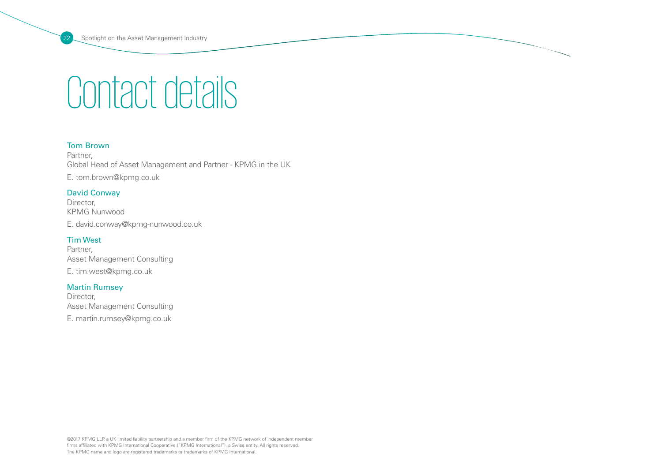### Contact details

### Tom Brown

Partner, Global Head of Asset Management and Partner - KPMG in the UK E. tom.brown@kpmg.co.uk

### David Conway

Director, KPMG Nunwood E. david.conway@kpmg-nunwood.co.uk

### Tim West

Partner, Asset Management Consulting E. tim.west@kpmg.co.uk

### Martin Rumsey

Director, Asset Management Consulting E. martin.rumsey@kpmg.co.uk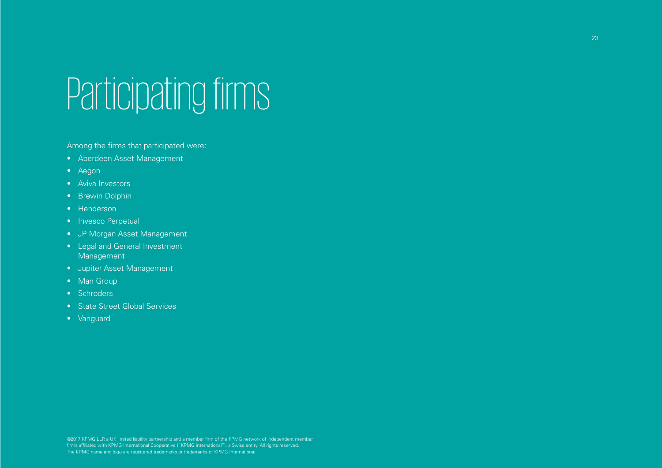# Participating firms

Among the firms that participated were:

- • Aberdeen Asset Management
- • Aegon
- • Aviva Investors
- Brewin Dolphin
- Henderson
- Invesco Perpetual
- • JP Morgan Asset Management
- Legal and General Investment Management
- • Jupiter Asset Management
- Man Group
- Schroders
- State Street Global Services
- • Vanguard